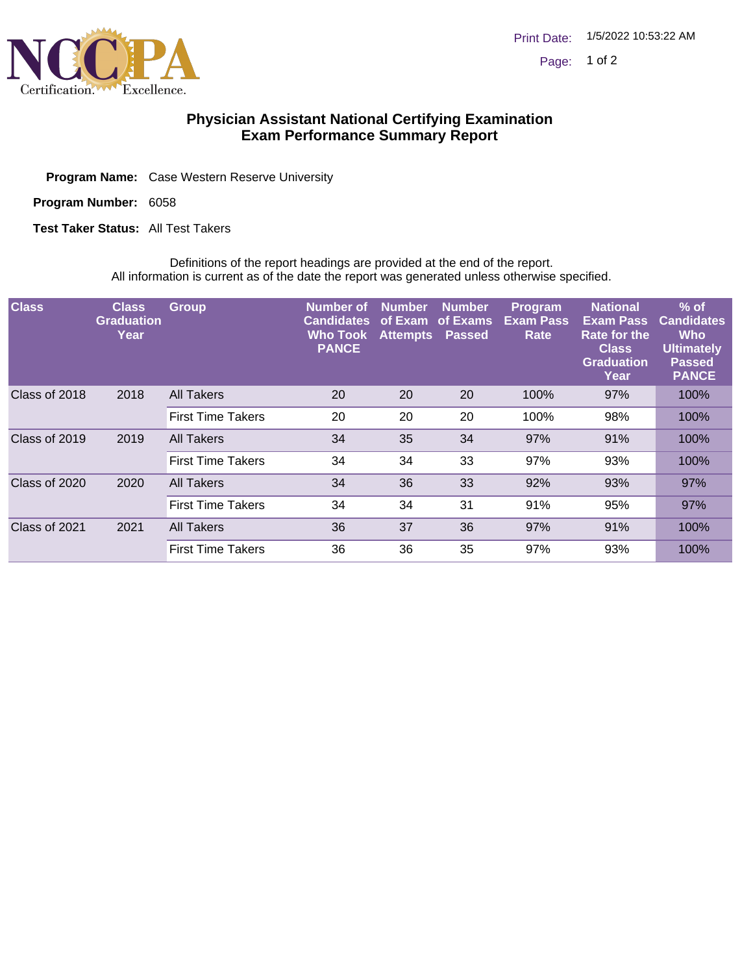

## **Physician Assistant National Certifying Examination Exam Performance Summary Report**

Program Name: Case Western Reserve University

Program Number: 6058

**Test Taker Status: All Test Takers** 

Definitions of the report headings are provided at the end of the report. All information is current as of the date the report was generated unless otherwise specified.

| <b>Class</b>  | <b>Class</b><br><b>Graduation</b><br>Year | <b>Group</b>             | Number of<br><b>Candidates</b><br><b>Who Took</b><br><b>PANCE</b> | <b>Number</b><br>of Exam<br><b>Attempts</b> | <b>Number</b><br>of Exams<br>Passed | Program<br><b>Exam Pass</b><br>Rate | <b>National</b><br><b>Exam Pass</b><br>Rate for the<br><b>Class</b><br><b>Graduation</b><br>Year | $%$ of<br><b>Candidates</b><br><b>Who</b><br><b>Ultimately</b><br><b>Passed</b><br><b>PANCE</b> |
|---------------|-------------------------------------------|--------------------------|-------------------------------------------------------------------|---------------------------------------------|-------------------------------------|-------------------------------------|--------------------------------------------------------------------------------------------------|-------------------------------------------------------------------------------------------------|
| Class of 2018 | 2018                                      | All Takers               | 20                                                                | 20                                          | 20                                  | 100%                                | 97%                                                                                              | 100%                                                                                            |
|               |                                           | <b>First Time Takers</b> | 20                                                                | 20                                          | 20                                  | 100%                                | 98%                                                                                              | 100%                                                                                            |
| Class of 2019 | 2019                                      | All Takers               | 34                                                                | 35                                          | 34                                  | 97%                                 | 91%                                                                                              | 100%                                                                                            |
|               |                                           | <b>First Time Takers</b> | 34                                                                | 34                                          | 33                                  | 97%                                 | 93%                                                                                              | 100%                                                                                            |
| Class of 2020 | 2020                                      | <b>All Takers</b>        | 34                                                                | 36                                          | 33                                  | 92%                                 | 93%                                                                                              | 97%                                                                                             |
|               |                                           | <b>First Time Takers</b> | 34                                                                | 34                                          | 31                                  | 91%                                 | 95%                                                                                              | 97%                                                                                             |
| Class of 2021 | 2021                                      | All Takers               | 36                                                                | 37                                          | 36                                  | 97%                                 | 91%                                                                                              | 100%                                                                                            |
|               |                                           | <b>First Time Takers</b> | 36                                                                | 36                                          | 35                                  | 97%                                 | 93%                                                                                              | 100%                                                                                            |